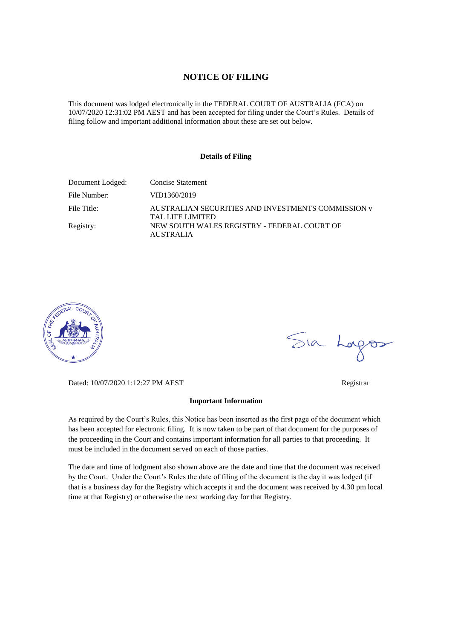# **NOTICE OF FILING**

This document was lodged electronically in the FEDERAL COURT OF AUSTRALIA (FCA) on 10/07/2020 12:31:02 PM AEST and has been accepted for filing under the Court's Rules. Details of filing follow and important additional information about these are set out below.

#### **Details of Filing**

| Document Lodged: | Concise Statement                                                             |
|------------------|-------------------------------------------------------------------------------|
| File Number:     | VID1360/2019                                                                  |
| File Title:      | AUSTRALIAN SECURITIES AND INVESTMENTS COMMISSION v<br><b>TAL LIFE LIMITED</b> |
| Registry:        | NEW SOUTH WALES REGISTRY - FEDERAL COURT OF<br><b>AUSTRALIA</b>               |



Sia Logos

Dated: 10/07/2020 1:12:27 PM AEST Registrar

#### **Important Information**

As required by the Court's Rules, this Notice has been inserted as the first page of the document which has been accepted for electronic filing. It is now taken to be part of that document for the purposes of the proceeding in the Court and contains important information for all parties to that proceeding. It must be included in the document served on each of those parties.

The date and time of lodgment also shown above are the date and time that the document was received by the Court. Under the Court's Rules the date of filing of the document is the day it was lodged (if that is a business day for the Registry which accepts it and the document was received by 4.30 pm local time at that Registry) or otherwise the next working day for that Registry.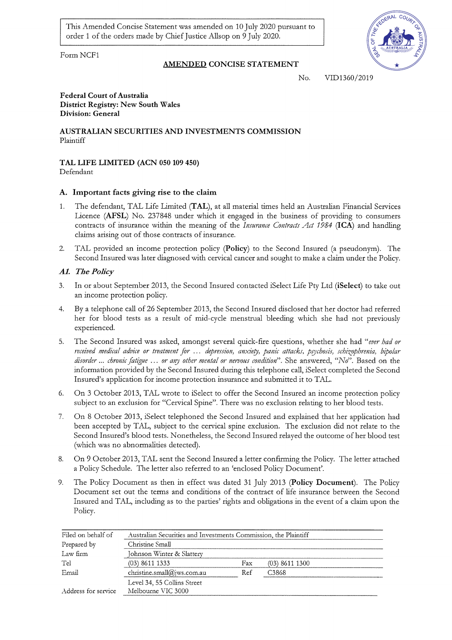This Amended Concise Statement was amended on 10 July 2020 pursuant to order 1 of the orders made by Chief Justice Allsop on 9 July 2020.

Form NCF1



AMENDED CONCISE STATEMENT

No. VID1360/2019

#### **Federal Court of Australia District Registry: New South Wales Division: General**

AUSTRALIAN SECURITIES AND INVESTMENTS COMMISSION Plaintiff

TAL LIFE LIMITED (ACN 050 109 450) Defendant

# A. Important facts giving rise to the claim

- The defendant, TAL Life Limited (TAL), at all material times held an Australian Financial Services  $1.$ Licence (AFSL) No. 237848 under which it engaged in the business of providing to consumers contracts of insurance within the meaning of the Insurance Contracts Act 1984 (ICA) and handling claims arising out of those contracts of insurance.
- TAL provided an income protection policy (Policy) to the Second Insured (a pseudonym). The  $2.$ Second Insured was later diagnosed with cervical cancer and sought to make a claim under the Policy.

## A1. The Policy

- In or about September 2013, the Second Insured contacted iSelect Life Pty Ltd (iSelect) to take out  $\mathcal{Z}$ an income protection policy.
- By a telephone call of 26 September 2013, the Second Insured disclosed that her doctor had referred  $4.$ her for blood tests as a result of mid-cycle menstrual bleeding which she had not previously experienced.
- 5. The Second Insured was asked, amongst several quick-fire questions, whether she had "ever had or received medical advice or treatment for ... depression, anxiety, panic attacks, psychosis, schizophrenia, bipolar disorder ... chronic fatigue ... or any other mental or nervous condition". She answered, "No". Based on the information provided by the Second Insured during this telephone call, iSelect completed the Second Insured's application for income protection insurance and submitted it to TAL.
- 6. On 3 October 2013, TAL wrote to iSelect to offer the Second Insured an income protection policy subject to an exclusion for "Cervical Spine". There was no exclusion relating to her blood tests.
- On 8 October 2013, iSelect telephoned the Second Insured and explained that her application had  $7.$ been accepted by TAL, subject to the cervical spine exclusion. The exclusion did not relate to the Second Insured's blood tests. Nonetheless, the Second Insured relayed the outcome of her blood test (which was no abnormalities detected).
- On 9 October 2013, TAL sent the Second Insured a letter confirming the Policy. The letter attached 8. a Policy Schedule. The letter also referred to an 'enclosed Policy Document'.
- The Policy Document as then in effect was dated 31 July 2013 (Policy Document). The Policy 9. Document set out the terms and conditions of the contract of life insurance between the Second Insured and TAL, including as to the parties' rights and obligations in the event of a claim upon the Policy.

| Filed on behalf of  | Australian Securities and Investments Commission, the Plaintiff |     |                |  |
|---------------------|-----------------------------------------------------------------|-----|----------------|--|
| Prepared by         | Christine Small                                                 |     |                |  |
| Law firm            | Johnson Winter & Slattery                                       |     |                |  |
| Tel                 | $(03)$ 8611 1333                                                | Fx  | (03) 8611 1300 |  |
| Email               | christine.small@jws.com.au                                      | Ref | C3868          |  |
|                     | Level 34, 55 Collins Street                                     |     |                |  |
| Address for service | Melbourne VIC 3000                                              |     |                |  |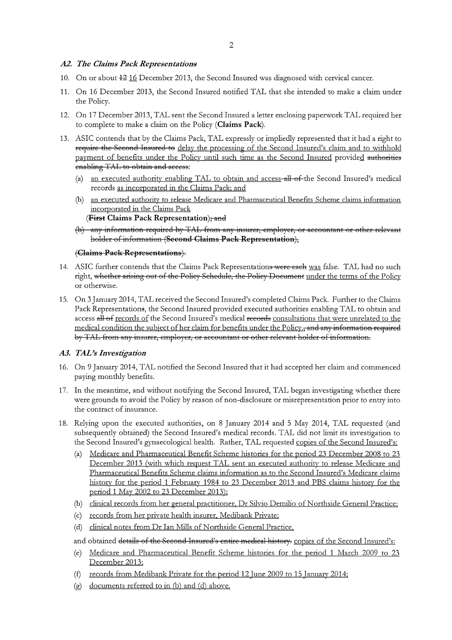## A2. The Claims Pack Representations

- 10. On or about 42 16 December 2013, the Second Insured was diagnosed with cervical cancer.
- 11. On 16 December 2013, the Second Insured notified TAL that she intended to make a claim under the Policy.
- 12. On 17 December 2013, TAL sent the Second Insured a letter enclosing paperwork TAL required her to complete to make a claim on the Policy (Claims Pack).
- 13. ASIC contends that by the Claims Pack, TAL expressly or impliedly represented that it had a right to require the Second Insured to delay the processing of the Second Insured's claim and to withhold payment of benefits under the Policy until such time as the Second Insured provided authorities enabling TAL to obtain and access:
	- (a) an executed authority enabling TAL to obtain and access-all-of-the Second Insured's medical records as incorporated in the Claims Pack; and
	- (b) an executed authority to release Medicare and Pharmaceutical Benefits Scheme claims information incorporated in the Claims Pack (First Claims Pack Representation); and
	- (b) any information required by TAL from any insurer, employer, or accountant or other relevant holder of information (Second Claims Pack Representation),

## (Claims Pack Representations).

- 14. ASIC further contends that the Claims Pack Representations were each was false. TAL had no such right, whether arising out of the Policy Schedule, the Policy Document under the terms of the Policy or otherwise.
- 15. On 3 January 2014, TAL received the Second Insured's completed Claims Pack. Further to the Claims Pack Representations, the Second Insured provided executed authorities enabling TAL to obtain and access all of records of the Second Insured's medical records consultations that were unrelated to the medical condition the subject of her claim for benefits under the Policy., and any information required by TAL from any insurer, employer, or accountant or other relevant holder of information.

# A3. TAL's Investigation

- 16. On 9 January 2014, TAL notified the Second Insured that it had accepted her claim and commenced paying monthly benefits.
- 17. In the meantime, and without notifying the Second Insured, TAL began investigating whether there were grounds to avoid the Policy by reason of non-disclosure or misrepresentation prior to entry into the contract of insurance.
- 18. Relying upon the executed authorities, on 8 January 2014 and 5 May 2014, TAL requested (and subsequently obtained) the Second Insured's medical records. TAL did not limit its investigation to the Second Insured's gynaecological health. Rather, TAL requested copies of the Second Insured's:
	- (a) Medicare and Pharmaceutical Benefit Scheme histories for the period 23 December 2008 to 23 December 2013 (with which request TAL sent an executed authority to release Medicare and Pharmaceutical Benefits Scheme claims information as to the Second Insured's Medicare claims history for the period 1 February 1984 to 23 December 2013 and PBS claims history for the period 1 May 2002 to 23 December 2013);
	- (b) clinical records from her general practitioner, Dr Silvio Demilio of Northside General Practice;
	- (c) records from her private health insurer, Medibank Private;
	- (d) clinical notes from Dr Ian Mills of Northside General Practice,

and obtained details of the Second Insured's entire medical history. copies of the Second Insured's:

- (e) Medicare and Pharmaceutical Benefit Scheme histories for the period 1 March 2009 to 23 December 2013:
- (f) records from Medibank Private for the period 12 June 2009 to 15 January 2014;
- (g) documents referred to in (b) and (d) above.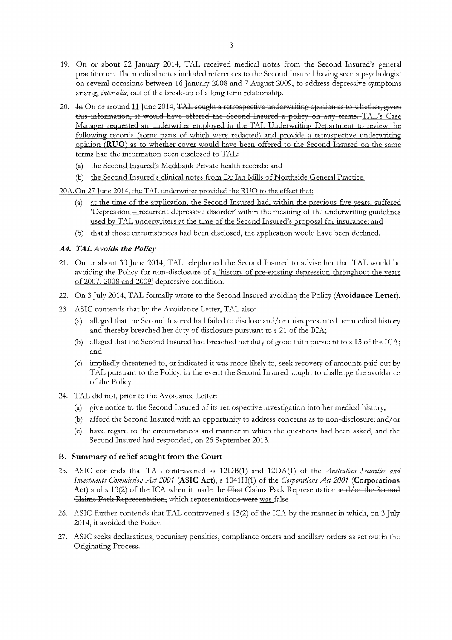- 19. On or about 22 January 2014, TAL received medical notes from the Second Insured's general practitioner. The medical notes included references to the Second Insured having seen a psychologist on several occasions between 16 January 2008 and 7 August 2009, to address depressive symptoms arising, inter alia, out of the break-up of a long term relationship.
- 20. In  $\overline{\text{On}}$  or around 11 June 2014, TAL sought a retrospective underwriting opinion as to whether, given this information, it would have offered the Second Insured a policy on any terms. TAL's Case Manager requested an underwriter employed in the TAL Underwriting Department to review the following records (some parts of which were redacted) and provide a retrospective underwriting opinion (RUO) as to whether cover would have been offered to the Second Insured on the same terms had the information been disclosed to TAL:
	- (a) the Second Insured's Medibank Private health records; and
	- (b) the Second Insured's clinical notes from Dr Ian Mills of Northside General Practice.
- 20A. On 27 June 2014, the TAL underwriter provided the RUO to the effect that:
	- (a) at the time of the application, the Second Insured had, within the previous five years, suffered Depression - recurrent depressive disorder' within the meaning of the underwriting guidelines used by TAL underwriters at the time of the Second Insured's proposal for insurance; and
	- (b) that if those circumstances had been disclosed, the application would have been declined.

## A4. TAL Avoids the Policy

- 21. On or about 30 June 2014, TAL telephoned the Second Insured to advise her that TAL would be avoiding the Policy for non-disclosure of a history of pre-existing depression throughout the years of 2007, 2008 and 2009' depressive condition.
- 22. On 3 July 2014, TAL formally wrote to the Second Insured avoiding the Policy (Avoidance Letter).
- 23. ASIC contends that by the Avoidance Letter, TAL also:
	- alleged that the Second Insured had failed to disclose and/or misrepresented her medical history  $(a)$ and thereby breached her duty of disclosure pursuant to s 21 of the ICA;
	- (b) alleged that the Second Insured had breached her duty of good faith pursuant to s 13 of the ICA; and
	- (c) impliedly threatened to, or indicated it was more likely to, seek recovery of amounts paid out by TAL pursuant to the Policy, in the event the Second Insured sought to challenge the avoidance of the Policy.
- 24. TAL did not, prior to the Avoidance Letter:
	- (a) give notice to the Second Insured of its retrospective investigation into her medical history;
	- (b) afford the Second Insured with an opportunity to address concerns as to non-disclosure; and/or
	- (c) have regard to the circumstances and manner in which the questions had been asked, and the Second Insured had responded, on 26 September 2013.

# B. Summary of relief sought from the Court

- 25. ASIC contends that TAL contravened ss 12DB(1) and 12DA(1) of the Australian Securities and Investments Commission Act 2001 (ASIC Act), s 1041H(1) of the Corporations Act 2001 (Corporations Act) and s 13(2) of the ICA when it made the First Claims Pack Representation and/or the Second Claims Pack Representation, which representations were was false
- 26. ASIC further contends that TAL contravened s 13(2) of the ICA by the manner in which, on 3 July 2014, it avoided the Policy.
- 27. ASIC seeks declarations, pecuniary penalties<del>, compliance orders</del> and ancillary orders as set out in the Originating Process.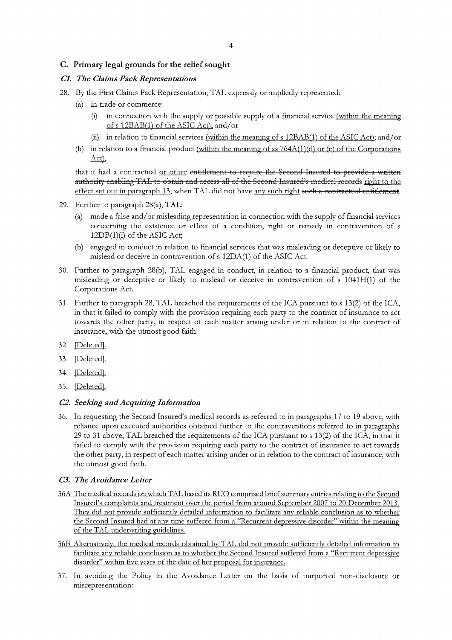# C. Primary legal grounds for the relief sought

## **C1.** The Claims Pack Representations

- 28. By the First Claims Pack Representation, TAL expressly or impliedly represented:
	- (a) in trade or commerce:
		- in connection with the supply or possible supply of a financial service (within the meaning  $(i)$ of s 12BAB(1) of the ASIC Act); and/or
		- (ii) in relation to financial services (within the meaning of s 12BAB(1) of the ASIC Act); and/or
	- (b) in relation to a financial product (within the meaning of ss  $764A(1)(d)$  or (e) of the Corporations Act),

that it had a contractual or other entitlement to require the Second Insured to provide a written authority enabling TAL to obtain and access all of the Second Insured's medical records right to the effect set out in paragraph 13, when TAL did not have any such right such a contractual entitlement.

- 29. Further to paragraph 28(a), TAL:
	- (a) made a false and/or misleading representation in connection with the supply of financial services concerning the existence or effect of a condition, right or remedy in contravention of s  $12DB(1)(i)$  of the ASIC Act;
	- (b) engaged in conduct in relation to financial services that was misleading or deceptive or likely to mislead or deceive in contravention of s 12DA(1) of the ASIC Act.
- 30. Further to paragraph 28(b), TAL engaged in conduct, in relation to a financial product, that was misleading or deceptive or likely to mislead or deceive in contravention of s 1041H(1) of the Corporations Act.
- 31. Further to paragraph 28, TAL breached the requirements of the ICA pursuant to s 13(2) of the ICA, in that it failed to comply with the provision requiring each party to the contract of insurance to act towards the other party, in respect of each matter arising under or in relation to the contract of insurance, with the utmost good faith.
- 32. Deleted].
- 33. [Deleted].
- 34. [Deleted].
- 35. [Deleted].

#### C2. Seeking and Acquiring Information

36. In requesting the Second Insured's medical records as referred to in paragraphs 17 to 19 above, with reliance upon executed authorities obtained further to the contraventions referred to in paragraphs 29 to 31 above, TAL breached the requirements of the ICA pursuant to s 13(2) of the ICA, in that it failed to comply with the provision requiring each party to the contract of insurance to act towards the other party, in respect of each matter arising under or in relation to the contract of insurance, with the utmost good faith.

#### C3. The Avoidance Letter

- 36A The medical records on which TAL based its RUO comprised brief summary entries relating to the Second Insured's complaints and treatment over the period from around September 2007 to 20 December 2013. They did not provide sufficiently detailed information to facilitate any reliable conclusion as to whether the Second Insured had at any time suffered from a "Recurrent depressive disorder" within the meaning of the TAL underwriting guidelines.
- 36B Alternatively, the medical records obtained by TAL did not provide sufficiently detailed information to facilitate any reliable conclusion as to whether the Second Insured suffered from a "Recurrent depressive disorder" within five years of the date of her proposal for insurance.
- 37. In avoiding the Policy in the Avoidance Letter on the basis of purported non-disclosure or misrepresentation: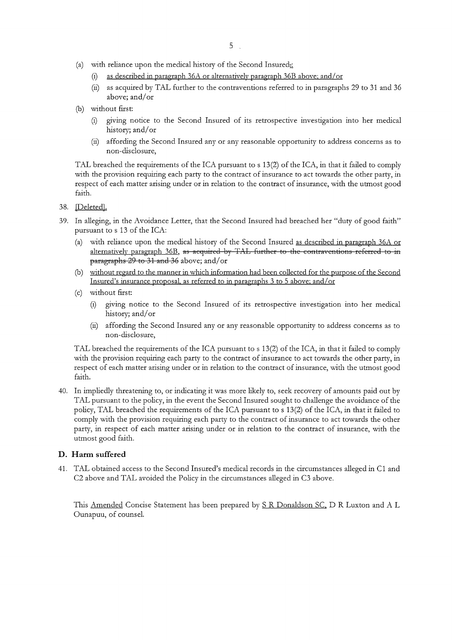- (a) with reliance upon the medical history of the Second Insured.
	- (i) as described in paragraph  $36A$  or alternatively paragraph  $36B$  above; and/or
	- (ii) as acquired by TAL further to the contraventions referred to in paragraphs 29 to 31 and 36 above; and/or
- (b) without first:
	- (i) giving notice to the Second Insured of its retrospective investigation into her medical history; and/or
	- affording the Second Insured any or any reasonable opportunity to address concerns as to  $(ii)$ non-disclosure,

TAL breached the requirements of the ICA pursuant to s 13(2) of the ICA, in that it failed to comply with the provision requiring each party to the contract of insurance to act towards the other party, in respect of each matter arising under or in relation to the contract of insurance, with the utmost good faith.

- 38. [Deleted].
- 39. In alleging, in the Avoidance Letter, that the Second Insured had breached her "duty of good faith" pursuant to s 13 of the ICA:
	- (a) with reliance upon the medical history of the Second Insured as described in paragraph 36A or alternatively paragraph 36B, as acquired by TAL further to the contraventions referred to in paragraphs 29 to 31 and 36 above; and/or
	- (b) without regard to the manner in which information had been collected for the purpose of the Second Insured's insurance proposal, as referred to in paragraphs 3 to 5 above; and/or
	- (c) without first:
		- giving notice to the Second Insured of its retrospective investigation into her medical  $(i)$ history; and/or
		- (ii) affording the Second Insured any or any reasonable opportunity to address concerns as to non-disclosure,

TAL breached the requirements of the ICA pursuant to s 13(2) of the ICA, in that it failed to comply with the provision requiring each party to the contract of insurance to act towards the other party, in respect of each matter arising under or in relation to the contract of insurance, with the utmost good faith.

40. In impliedly threatening to, or indicating it was more likely to, seek recovery of amounts paid out by TAL pursuant to the policy, in the event the Second Insured sought to challenge the avoidance of the policy, TAL breached the requirements of the ICA pursuant to s 13(2) of the ICA, in that it failed to comply with the provision requiring each party to the contract of insurance to act towards the other party, in respect of each matter arising under or in relation to the contract of insurance, with the utmost good faith.

# D. Harm suffered

41. TAL obtained access to the Second Insured's medical records in the circumstances alleged in C1 and C2 above and TAL avoided the Policy in the circumstances alleged in C3 above.

This Amended Concise Statement has been prepared by S R Donaldson SC, D R Luxton and A L Ounapuu, of counsel.